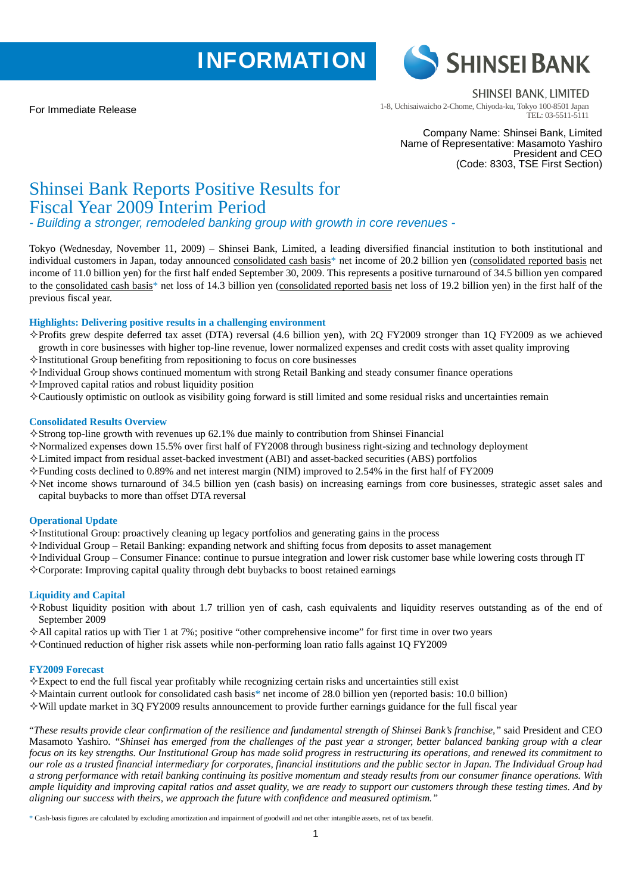# **INFORMATION**

For Immediate Release



**SHINSEI BANK, LIMITED** 

1-8, Uchisaiwaicho 2-Chome, Chiyoda-ku, Tokyo 100-8501 Japan TEL: 03-5511-5111

Company Name: Shinsei Bank, Limited Name of Representative: Masamoto Yashiro President and CEO (Code: 8303, TSE First Section)

## Shinsei Bank Reports Positive Results for Fiscal Year 2009 Interim Period

*- Building a stronger, remodeled banking group with growth in core revenues -* 

Tokyo (Wednesday, November 11, 2009) – Shinsei Bank, Limited, a leading diversified financial institution to both institutional and individual customers in Japan, today announced consolidated cash basis<sup>\*</sup> net income of 20.2 billion yen (consolidated reported basis net income of 11.0 billion yen) for the first half ended September 30, 2009. This represents a positive turnaround of 34.5 billion yen compared to the consolidated cash basis\* net loss of 14.3 billion yen (consolidated reported basis net loss of 19.2 billion yen) in the first half of the previous fiscal year.

## **Highlights: Delivering positive results in a challenging environment**

- $\Diamond$ Profits grew despite deferred tax asset (DTA) reversal (4.6 billion yen), with 2Q FY2009 stronger than 1Q FY2009 as we achieved growth in core businesses with higher top-line revenue, lower normalized expenses and credit costs with asset quality improving
- $\Diamond$ Institutional Group benefiting from repositioning to focus on core businesses
- $\Diamond$ Individual Group shows continued momentum with strong Retail Banking and steady consumer finance operations
- $\Diamond$ Improved capital ratios and robust liquidity position
- Cautiously optimistic on outlook as visibility going forward is still limited and some residual risks and uncertainties remain

## **Consolidated Results Overview**

- $\diamond$ Strong top-line growth with revenues up 62.1% due mainly to contribution from Shinsei Financial
- $\Diamond$ Normalized expenses down 15.5% over first half of FY2008 through business right-sizing and technology deployment
- $\Diamond$  Limited impact from residual asset-backed investment (ABI) and asset-backed securities (ABS) portfolios
- $\Diamond$  Funding costs declined to 0.89% and net interest margin (NIM) improved to 2.54% in the first half of FY2009
- $\diamond$  Net income shows turnaround of 34.5 billion yen (cash basis) on increasing earnings from core businesses, strategic asset sales and capital buybacks to more than offset DTA reversal

## **Operational Update**

- $\Diamond$ Institutional Group: proactively cleaning up legacy portfolios and generating gains in the process
- $\diamond$ Individual Group Retail Banking: expanding network and shifting focus from deposits to asset management
- $\Diamond$ Individual Group Consumer Finance: continue to pursue integration and lower risk customer base while lowering costs through IT
- $\Diamond$  Corporate: Improving capital quality through debt buybacks to boost retained earnings

## **Liquidity and Capital**

- $\diamond$ Robust liquidity position with about 1.7 trillion yen of cash, cash equivalents and liquidity reserves outstanding as of the end of September 2009
- $\Diamond$  All capital ratios up with Tier 1 at 7%; positive "other comprehensive income" for first time in over two years
- $\diamond$  Continued reduction of higher risk assets while non-performing loan ratio falls against 1O FY2009

## **FY2009 Forecast**

- $\Diamond$  Expect to end the full fiscal year profitably while recognizing certain risks and uncertainties still exist
- $\Diamond$  Maintain current outlook for consolidated cash basis\* net income of 28.0 billion yen (reported basis: 10.0 billion)
- $\Diamond$  Will update market in 3Q FY2009 results announcement to provide further earnings guidance for the full fiscal year

"*These results provide clear confirmation of the resilience and fundamental strength of Shinsei Bank's franchise,"* said President and CEO Masamoto Yashiro. *"Shinsei has emerged from the challenges of the past year a stronger, better balanced banking group with a clear focus on its key strengths. Our Institutional Group has made solid progress in restructuring its operations, and renewed its commitment to our role as a trusted financial intermediary for corporates, financial institutions and the public sector in Japan. The Individual Group had a strong performance with retail banking continuing its positive momentum and steady results from our consumer finance operations. With ample liquidity and improving capital ratios and asset quality, we are ready to support our customers through these testing times. And by aligning our success with theirs, we approach the future with confidence and measured optimism."* 

\* Cash-basis figures are calculated by excluding amortization and impairment of goodwill and net other intangible assets, net of tax benefit.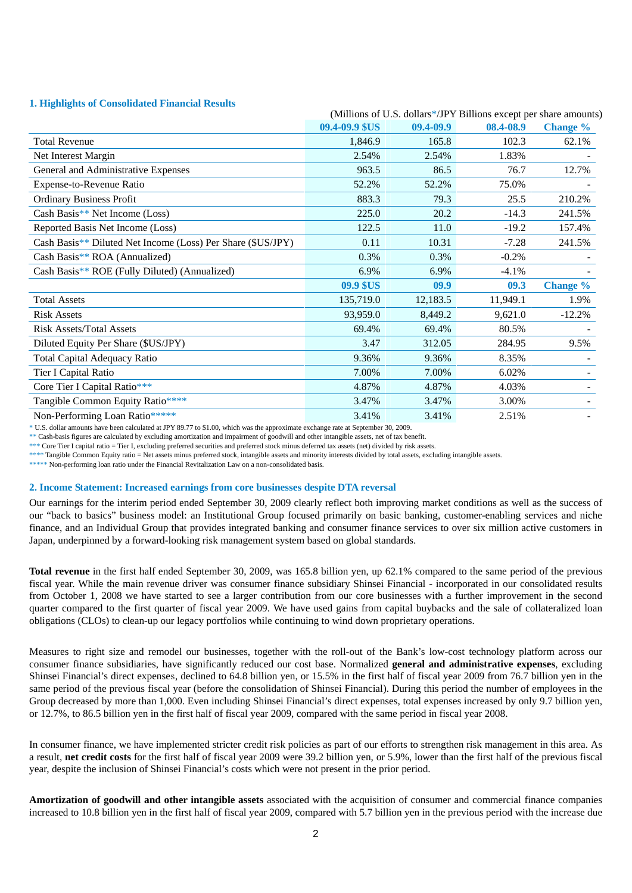## **1. Highlights of Consolidated Financial Results**

| 1. підпідню от сопронианти і піантіаі нерапо                |                                                                   |           |           |                 |
|-------------------------------------------------------------|-------------------------------------------------------------------|-----------|-----------|-----------------|
|                                                             | (Millions of U.S. dollars*/JPY Billions except per share amounts) |           |           |                 |
|                                                             | 09.4-09.9 \$US                                                    | 09.4-09.9 | 08.4-08.9 | <b>Change</b> % |
| <b>Total Revenue</b>                                        | 1,846.9                                                           | 165.8     | 102.3     | 62.1%           |
| Net Interest Margin                                         | 2.54%                                                             | 2.54%     | 1.83%     |                 |
| General and Administrative Expenses                         | 963.5                                                             | 86.5      | 76.7      | 12.7%           |
| Expense-to-Revenue Ratio                                    | 52.2%                                                             | 52.2%     | 75.0%     |                 |
| <b>Ordinary Business Profit</b>                             | 883.3                                                             | 79.3      | 25.5      | 210.2%          |
| Cash Basis** Net Income (Loss)                              | 225.0                                                             | 20.2      | $-14.3$   | 241.5%          |
| Reported Basis Net Income (Loss)                            | 122.5                                                             | 11.0      | $-19.2$   | 157.4%          |
| Cash Basis** Diluted Net Income (Loss) Per Share (\$US/JPY) | 0.11                                                              | 10.31     | $-7.28$   | 241.5%          |
| Cash Basis** $ROA$ (Annualized)                             | 0.3%                                                              | 0.3%      | $-0.2%$   |                 |
| Cash Basis** ROE (Fully Diluted) (Annualized)               | 6.9%                                                              | 6.9%      | $-4.1%$   |                 |
|                                                             | 09.9 \$US                                                         | 09.9      | 09.3      | <b>Change</b> % |
| <b>Total Assets</b>                                         | 135,719.0                                                         | 12,183.5  | 11,949.1  | 1.9%            |
| <b>Risk Assets</b>                                          | 93,959.0                                                          | 8,449.2   | 9,621.0   | $-12.2%$        |
| <b>Risk Assets/Total Assets</b>                             | 69.4%                                                             | 69.4%     | 80.5%     |                 |
| Diluted Equity Per Share (\$US/JPY)                         | 3.47                                                              | 312.05    | 284.95    | 9.5%            |
| Total Capital Adequacy Ratio                                | 9.36%                                                             | 9.36%     | 8.35%     |                 |
| Tier I Capital Ratio                                        | 7.00%                                                             | 7.00%     | 6.02%     |                 |
| Core Tier I Capital Ratio***                                | 4.87%                                                             | 4.87%     | 4.03%     |                 |
| Tangible Common Equity Ratio****                            | 3.47%                                                             | 3.47%     | 3.00%     |                 |
| Non-Performing Loan Ratio*****                              | 3.41%                                                             | 3.41%     | 2.51%     |                 |

\* U.S. dollar amounts have been calculated at JPY 89.77 to \$1.00, which was the approximate exchange rate at September 30, 2009.

\*\* Cash-basis figures are calculated by excluding amortization and impairment of goodwill and other intangible assets, net of tax benefit.

\*\*\* Core Tier I capital ratio = Tier I, excluding preferred securities and preferred stock minus deferred tax assets (net) divided by risk assets.

\*\*\*\* Tangible Common Equity ratio = Net assets minus preferred stock, intangible assets and minority interests divided by total assets, excluding intangible assets.

\*\*\*\*\* Non-performing loan ratio under the Financial Revitalization Law on a non-consolidated basis.

#### **2. Income Statement: Increased earnings from core businesses despite DTA reversal**

Our earnings for the interim period ended September 30, 2009 clearly reflect both improving market conditions as well as the success of our "back to basics" business model: an Institutional Group focused primarily on basic banking, customer-enabling services and niche finance, and an Individual Group that provides integrated banking and consumer finance services to over six million active customers in Japan, underpinned by a forward-looking risk management system based on global standards.

**Total revenue** in the first half ended September 30, 2009, was 165.8 billion yen, up 62.1% compared to the same period of the previous fiscal year. While the main revenue driver was consumer finance subsidiary Shinsei Financial - incorporated in our consolidated results from October 1, 2008 we have started to see a larger contribution from our core businesses with a further improvement in the second quarter compared to the first quarter of fiscal year 2009. We have used gains from capital buybacks and the sale of collateralized loan obligations (CLOs) to clean-up our legacy portfolios while continuing to wind down proprietary operations.

Measures to right size and remodel our businesses, together with the roll-out of the Bank's low-cost technology platform across our consumer finance subsidiaries, have significantly reduced our cost base. Normalized **general and administrative expenses**, excluding Shinsei Financial's direct expenses, declined to 64.8 billion yen, or 15.5% in the first half of fiscal year 2009 from 76.7 billion yen in the same period of the previous fiscal year (before the consolidation of Shinsei Financial). During this period the number of employees in the Group decreased by more than 1,000. Even including Shinsei Financial's direct expenses, total expenses increased by only 9.7 billion yen, or 12.7%, to 86.5 billion yen in the first half of fiscal year 2009, compared with the same period in fiscal year 2008.

In consumer finance, we have implemented stricter credit risk policies as part of our efforts to strengthen risk management in this area. As a result, **net credit costs** for the first half of fiscal year 2009 were 39.2 billion yen, or 5.9%, lower than the first half of the previous fiscal year, despite the inclusion of Shinsei Financial's costs which were not present in the prior period.

**Amortization of goodwill and other intangible assets** associated with the acquisition of consumer and commercial finance companies increased to 10.8 billion yen in the first half of fiscal year 2009, compared with 5.7 billion yen in the previous period with the increase due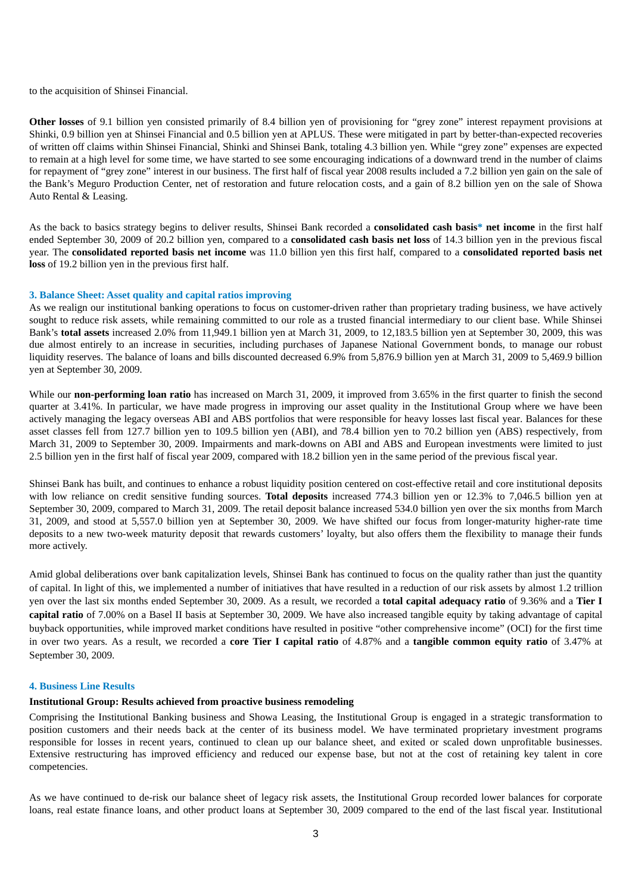to the acquisition of Shinsei Financial.

**Other losses** of 9.1 billion yen consisted primarily of 8.4 billion yen of provisioning for "grey zone" interest repayment provisions at Shinki, 0.9 billion yen at Shinsei Financial and 0.5 billion yen at APLUS. These were mitigated in part by better-than-expected recoveries of written off claims within Shinsei Financial, Shinki and Shinsei Bank, totaling 4.3 billion yen. While "grey zone" expenses are expected to remain at a high level for some time, we have started to see some encouraging indications of a downward trend in the number of claims for repayment of "grey zone" interest in our business. The first half of fiscal year 2008 results included a 7.2 billion yen gain on the sale of the Bank's Meguro Production Center, net of restoration and future relocation costs, and a gain of 8.2 billion yen on the sale of Showa Auto Rental & Leasing.

As the back to basics strategy begins to deliver results, Shinsei Bank recorded a **consolidated cash basis\* net income** in the first half ended September 30, 2009 of 20.2 billion yen, compared to a **consolidated cash basis net loss** of 14.3 billion yen in the previous fiscal year. The **consolidated reported basis net income** was 11.0 billion yen this first half, compared to a **consolidated reported basis net loss** of 19.2 billion yen in the previous first half.

## **3. Balance Sheet: Asset quality and capital ratios improving**

As we realign our institutional banking operations to focus on customer-driven rather than proprietary trading business, we have actively sought to reduce risk assets, while remaining committed to our role as a trusted financial intermediary to our client base. While Shinsei Bank's **total assets** increased 2.0% from 11,949.1 billion yen at March 31, 2009, to 12,183.5 billion yen at September 30, 2009, this was due almost entirely to an increase in securities, including purchases of Japanese National Government bonds, to manage our robust liquidity reserves. The balance of loans and bills discounted decreased 6.9% from 5,876.9 billion yen at March 31, 2009 to 5,469.9 billion yen at September 30, 2009.

While our **non-performing loan ratio** has increased on March 31, 2009, it improved from 3.65% in the first quarter to finish the second quarter at 3.41%. In particular, we have made progress in improving our asset quality in the Institutional Group where we have been actively managing the legacy overseas ABI and ABS portfolios that were responsible for heavy losses last fiscal year. Balances for these asset classes fell from 127.7 billion yen to 109.5 billion yen (ABI), and 78.4 billion yen to 70.2 billion yen (ABS) respectively, from March 31, 2009 to September 30, 2009. Impairments and mark-downs on ABI and ABS and European investments were limited to just 2.5 billion yen in the first half of fiscal year 2009, compared with 18.2 billion yen in the same period of the previous fiscal year.

Shinsei Bank has built, and continues to enhance a robust liquidity position centered on cost-effective retail and core institutional deposits with low reliance on credit sensitive funding sources. **Total deposits** increased 774.3 billion yen or 12.3% to 7,046.5 billion yen at September 30, 2009, compared to March 31, 2009. The retail deposit balance increased 534.0 billion yen over the six months from March 31, 2009, and stood at 5,557.0 billion yen at September 30, 2009. We have shifted our focus from longer-maturity higher-rate time deposits to a new two-week maturity deposit that rewards customers' loyalty, but also offers them the flexibility to manage their funds more actively.

Amid global deliberations over bank capitalization levels, Shinsei Bank has continued to focus on the quality rather than just the quantity of capital. In light of this, we implemented a number of initiatives that have resulted in a reduction of our risk assets by almost 1.2 trillion yen over the last six months ended September 30, 2009. As a result, we recorded a **total capital adequacy ratio** of 9.36% and a **Tier I capital ratio** of 7.00% on a Basel II basis at September 30, 2009. We have also increased tangible equity by taking advantage of capital buyback opportunities, while improved market conditions have resulted in positive "other comprehensive income" (OCI) for the first time in over two years. As a result, we recorded a **core Tier I capital ratio** of 4.87% and a **tangible common equity ratio** of 3.47% at September 30, 2009.

#### **4. Business Line Results**

## **Institutional Group: Results achieved from proactive business remodeling**

Comprising the Institutional Banking business and Showa Leasing, the Institutional Group is engaged in a strategic transformation to position customers and their needs back at the center of its business model. We have terminated proprietary investment programs responsible for losses in recent years, continued to clean up our balance sheet, and exited or scaled down unprofitable businesses. Extensive restructuring has improved efficiency and reduced our expense base, but not at the cost of retaining key talent in core competencies.

As we have continued to de-risk our balance sheet of legacy risk assets, the Institutional Group recorded lower balances for corporate loans, real estate finance loans, and other product loans at September 30, 2009 compared to the end of the last fiscal year. Institutional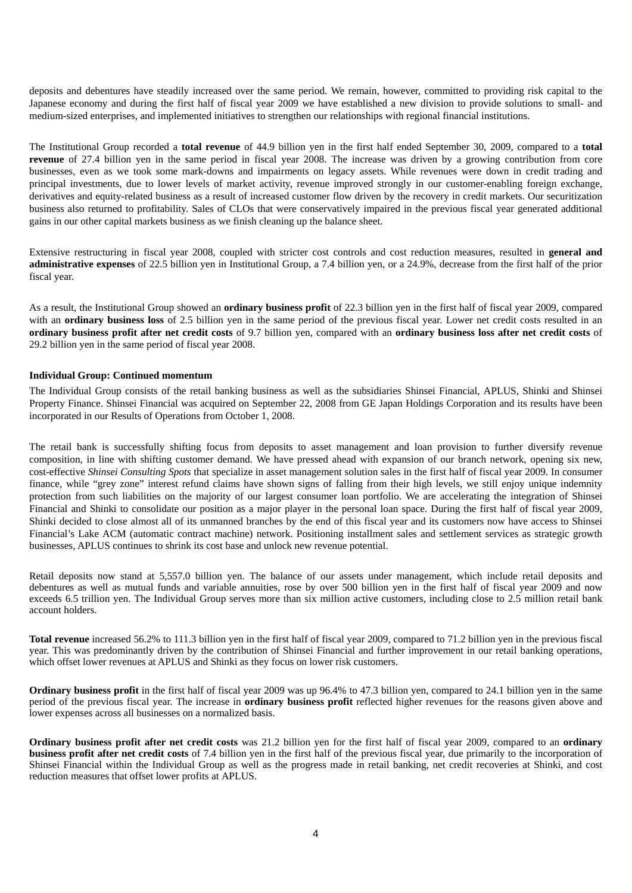deposits and debentures have steadily increased over the same period. We remain, however, committed to providing risk capital to the Japanese economy and during the first half of fiscal year 2009 we have established a new division to provide solutions to small- and medium-sized enterprises, and implemented initiatives to strengthen our relationships with regional financial institutions.

The Institutional Group recorded a **total revenue** of 44.9 billion yen in the first half ended September 30, 2009, compared to a **total revenue** of 27.4 billion yen in the same period in fiscal year 2008. The increase was driven by a growing contribution from core businesses, even as we took some mark-downs and impairments on legacy assets. While revenues were down in credit trading and principal investments, due to lower levels of market activity, revenue improved strongly in our customer-enabling foreign exchange, derivatives and equity-related business as a result of increased customer flow driven by the recovery in credit markets. Our securitization business also returned to profitability. Sales of CLOs that were conservatively impaired in the previous fiscal year generated additional gains in our other capital markets business as we finish cleaning up the balance sheet.

Extensive restructuring in fiscal year 2008, coupled with stricter cost controls and cost reduction measures, resulted in **general and administrative expenses** of 22.5 billion yen in Institutional Group, a 7.4 billion yen, or a 24.9%, decrease from the first half of the prior fiscal year.

As a result, the Institutional Group showed an **ordinary business profit** of 22.3 billion yen in the first half of fiscal year 2009, compared with an **ordinary business loss** of 2.5 billion yen in the same period of the previous fiscal year. Lower net credit costs resulted in an **ordinary business profit after net credit costs** of 9.7 billion yen, compared with an **ordinary business loss after net credit costs** of 29.2 billion yen in the same period of fiscal year 2008.

#### **Individual Group: Continued momentum**

The Individual Group consists of the retail banking business as well as the subsidiaries Shinsei Financial, APLUS, Shinki and Shinsei Property Finance. Shinsei Financial was acquired on September 22, 2008 from GE Japan Holdings Corporation and its results have been incorporated in our Results of Operations from October 1, 2008.

The retail bank is successfully shifting focus from deposits to asset management and loan provision to further diversify revenue composition, in line with shifting customer demand. We have pressed ahead with expansion of our branch network, opening six new, cost-effective *Shinsei Consulting Spots* that specialize in asset management solution sales in the first half of fiscal year 2009. In consumer finance, while "grey zone" interest refund claims have shown signs of falling from their high levels, we still enjoy unique indemnity protection from such liabilities on the majority of our largest consumer loan portfolio. We are accelerating the integration of Shinsei Financial and Shinki to consolidate our position as a major player in the personal loan space. During the first half of fiscal year 2009, Shinki decided to close almost all of its unmanned branches by the end of this fiscal year and its customers now have access to Shinsei Financial's Lake ACM (automatic contract machine) network. Positioning installment sales and settlement services as strategic growth businesses, APLUS continues to shrink its cost base and unlock new revenue potential.

Retail deposits now stand at 5,557.0 billion yen. The balance of our assets under management, which include retail deposits and debentures as well as mutual funds and variable annuities, rose by over 500 billion yen in the first half of fiscal year 2009 and now exceeds 6.5 trillion yen. The Individual Group serves more than six million active customers, including close to 2.5 million retail bank account holders.

**Total revenue** increased 56.2% to 111.3 billion yen in the first half of fiscal year 2009, compared to 71.2 billion yen in the previous fiscal year. This was predominantly driven by the contribution of Shinsei Financial and further improvement in our retail banking operations, which offset lower revenues at APLUS and Shinki as they focus on lower risk customers.

**Ordinary business profit** in the first half of fiscal year 2009 was up 96.4% to 47.3 billion yen, compared to 24.1 billion yen in the same period of the previous fiscal year. The increase in **ordinary business profit** reflected higher revenues for the reasons given above and lower expenses across all businesses on a normalized basis.

**Ordinary business profit after net credit costs** was 21.2 billion yen for the first half of fiscal year 2009, compared to an **ordinary business profit after net credit costs** of 7.4 billion yen in the first half of the previous fiscal year, due primarily to the incorporation of Shinsei Financial within the Individual Group as well as the progress made in retail banking, net credit recoveries at Shinki, and cost reduction measures that offset lower profits at APLUS.